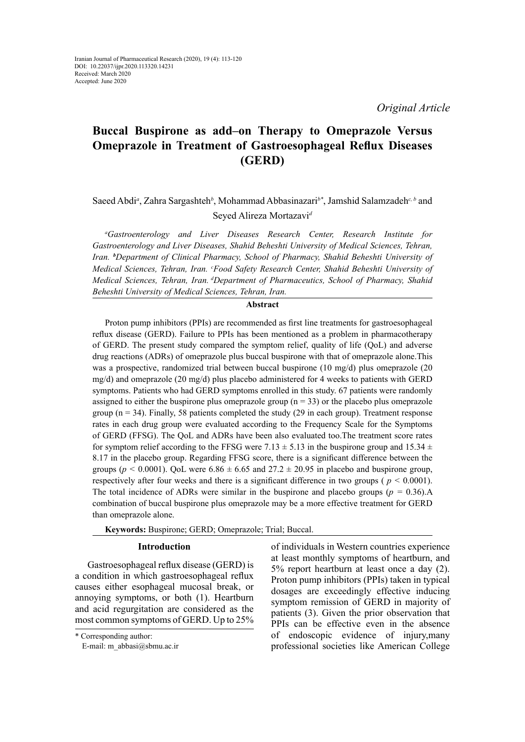# **Buccal Buspirone as add–on Therapy to Omeprazole Versus Omeprazole in Treatment of Gastroesophageal Reflux Diseases (GERD)**

## Saeed Abdi<sup>*a*</sup>, Zahra Sargashteh<sup>b</sup>, Mohammad Abbasinazari<sup>b\*</sup>, Jamshid Salamzadeh<sup>c, b</sup> and Seyed Alireza Mortazavi*<sup>d</sup>*

*a Gastroenterology and Liver Diseases Research Center, Research Institute for Gastroenterology and Liver Diseases, Shahid Beheshti University of Medical Sciences, Tehran, Iran. <sup>b</sup> Department of Clinical Pharmacy, School of Pharmacy, Shahid Beheshti University of Medical Sciences, Tehran, Iran. c Food Safety Research Center, Shahid Beheshti University of Medical Sciences, Tehran, Iran. dDepartment of Pharmaceutics, School of Pharmacy, Shahid Beheshti University of Medical Sciences, Tehran, Iran.* 

### **Abstract**

Proton pump inhibitors (PPIs) are recommended as first line treatments for gastroesophageal reflux disease (GERD). Failure to PPIs has been mentioned as a problem in pharmacotherapy of GERD. The present study compared the symptom relief, quality of life (QoL) and adverse drug reactions (ADRs) of omeprazole plus buccal buspirone with that of omeprazole alone.This was a prospective, randomized trial between buccal buspirone (10 mg/d) plus omeprazole (20 mg/d) and omeprazole (20 mg/d) plus placebo administered for 4 weeks to patients with GERD symptoms. Patients who had GERD symptoms enrolled in this study. 67 patients were randomly assigned to either the buspirone plus omeprazole group ( $n = 33$ ) or the placebo plus omeprazole group ( $n = 34$ ). Finally, 58 patients completed the study (29 in each group). Treatment response rates in each drug group were evaluated according to the Frequency Scale for the Symptoms of GERD (FFSG). The QoL and ADRs have been also evaluated too.The treatment score rates for symptom relief according to the FFSG were 7.13  $\pm$  5.13 in the buspirone group and 15.34  $\pm$ 8.17 in the placebo group. Regarding FFSG score, there is a significant difference between the groups ( $p < 0.0001$ ). OoL were  $6.86 \pm 6.65$  and  $27.2 \pm 20.95$  in placebo and buspirone group, respectively after four weeks and there is a significant difference in two groups ( *p <* 0.0001). The total incidence of ADRs were similar in the buspirone and placebo groups ( $p = 0.36$ ).A combination of buccal buspirone plus omeprazole may be a more effective treatment for GERD than omeprazole alone.

**Keywords:** Buspirone; GERD; Omeprazole; Trial; Buccal.

### **Introduction**

Gastroesophageal reflux disease (GERD) is a condition in which gastroesophageal reflux causes either esophageal mucosal break, or annoying symptoms, or both (1). Heartburn and acid regurgitation are considered as the most common symptoms of GERD. Up to 25%

\* Corresponding author:

E-mail: m\_abbasi@sbmu.ac.ir

of individuals in Western countries experience at least monthly symptoms of heartburn, and 5% report heartburn at least once a day (2). Proton pump inhibitors (PPIs) taken in typical dosages are exceedingly effective inducing symptom remission of GERD in majority of patients (3). Given the prior observation that PPIs can be effective even in the absence of endoscopic evidence of injury,many professional societies like American College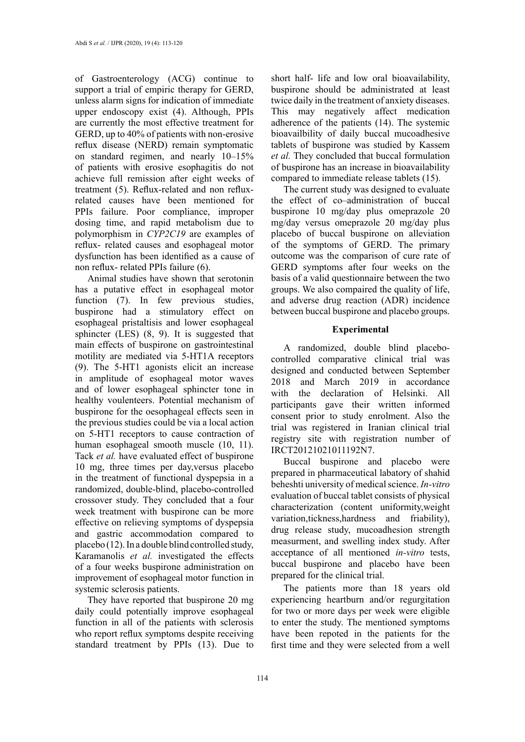of Gastroenterology (ACG) continue to support a trial of empiric therapy for GERD, unless alarm signs for indication of immediate upper endoscopy exist (4). Although, PPIs are currently the most effective treatment for GERD, up to 40% of patients with non-erosive reflux disease (NERD) remain symptomatic on standard regimen, and nearly 10–15% of patients with erosive esophagitis do not achieve full remission after eight weeks of treatment (5). Reflux-related and non refluxrelated causes have been mentioned for PPIs failure. Poor compliance, improper dosing time, and rapid metabolism due to polymorphism in *CYP2C19* are examples of reflux- related causes and esophageal motor dysfunction has been identified as a cause of non reflux- related PPIs failure (6).

Animal studies have shown that serotonin has a putative effect in esophageal motor function (7). In few previous studies, buspirone had a stimulatory effect on esophageal pristaltisis and lower esophageal sphincter (LES) (8, 9). It is suggested that main effects of buspirone on gastrointestinal motility are mediated via 5-HT1A receptors (9). The 5-HT1 agonists elicit an increase in amplitude of esophageal motor waves and of lower esophageal sphincter tone in healthy voulenteers. Potential mechanism of buspirone for the oesophageal effects seen in the previous studies could be via a local action on 5-HT1 receptors to cause contraction of human esophageal smooth muscle (10, 11). Tack *et al.* have evaluated effect of buspirone 10 mg, three times per day,versus placebo in the treatment of functional dyspepsia in a randomized, double-blind, placebo-controlled crossover study. They concluded that a four week treatment with buspirone can be more effective on relieving symptoms of dyspepsia and gastric accommodation compared to placebo (12). In a double blind controlled study, Karamanolis *et al.* investigated the effects of a four weeks buspirone administration on improvement of esophageal motor function in systemic sclerosis patients.

They have reported that buspirone 20 mg daily could potentially improve esophageal function in all of the patients with sclerosis who report reflux symptoms despite receiving standard treatment by PPIs (13). Due to

short half- life and low oral bioavailability, buspirone should be administrated at least twice daily in the treatment of anxiety diseases. This may negatively affect medication adherence of the patients (14). The systemic bioavailbility of daily buccal mucoadhesive tablets of buspirone was studied by Kassem *et al.* They concluded that buccal formulation of buspirone has an increase in bioavailability compared to immediate release tablets (15).

The current study was designed to evaluate the effect of co–administration of buccal buspirone 10 mg/day plus omeprazole 20 mg/day versus omeprazole 20 mg/day plus placebo of buccal buspirone on alleviation of the symptoms of GERD. The primary outcome was the comparison of cure rate of GERD symptoms after four weeks on the basis of a valid questionnaire between the two groups. We also compaired the quality of life, and adverse drug reaction (ADR) incidence between buccal buspirone and placebo groups.

## **Experimental**

A randomized, double blind placebocontrolled comparative clinical trial was designed and conducted between September 2018 and March 2019 in accordance with the declaration of Helsinki. All participants gave their written informed consent prior to study enrolment. Also the trial was registered in Iranian clinical trial registry site with registration number of IRCT20121021011192N7.

Buccal buspirone and placebo were prepared in pharmaceutical labatory of shahid beheshti university of medical science. *In-vitro* evaluation of buccal tablet consists of physical characterization (content uniformity,weight variation,tickness,hardness and friability), drug release study, mucoadhesion strength measurment, and swelling index study. After acceptance of all mentioned *in-vitro* tests, buccal buspirone and placebo have been prepared for the clinical trial.

The patients more than 18 years old experiencing heartburn and/or regurgitation for two or more days per week were eligible to enter the study. The mentioned symptoms have been repoted in the patients for the first time and they were selected from a well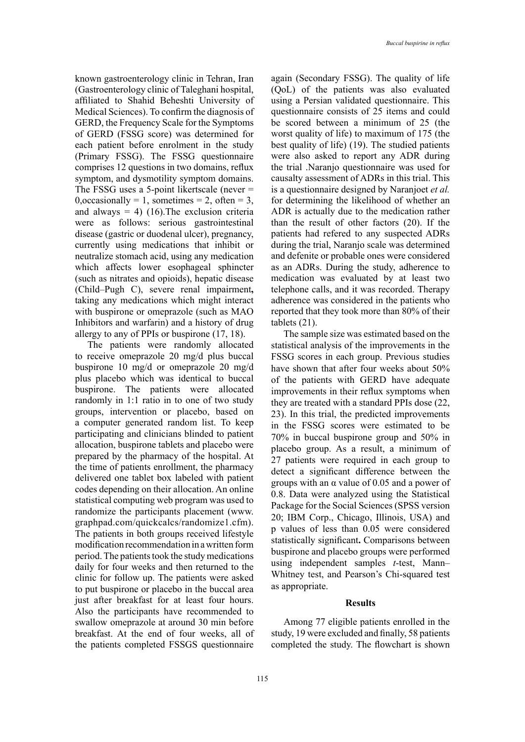known gastroenterology clinic in Tehran, Iran (Gastroenterology clinic of Taleghani hospital, affiliated to Shahid Beheshti University of Medical Sciences). To confirm the diagnosis of GERD, the Frequency Scale for the Symptoms of GERD (FSSG score) was determined for each patient before enrolment in the study (Primary FSSG). The FSSG questionnaire comprises 12 questions in two domains, reflux symptom, and dysmotility symptom domains. The FSSG uses a 5-point likertscale (never =  $0, \text{occasionally} = 1, \text{ sometimes} = 2, \text{ often} = 3,$ and always  $= 4$ ) (16). The exclusion criteria were as follows: serious gastrointestinal disease (gastric or duodenal ulcer), pregnancy, currently using medications that inhibit or neutralize stomach acid, using any medication which affects lower esophageal sphincter (such as nitrates and opioids), hepatic disease (Child–Pugh C), severe renal impairment**,** taking any medications which might interact with buspirone or omeprazole (such as MAO Inhibitors and warfarin) and a history of drug allergy to any of PPIs or buspirone (17, 18).

The patients were randomly allocated to receive omeprazole 20 mg/d plus buccal buspirone 10 mg/d or omeprazole 20 mg/d plus placebo which was identical to buccal buspirone. The patients were allocated randomly in 1:1 ratio in to one of two study groups, intervention or placebo, based on a computer generated random list. To keep participating and clinicians blinded to patient allocation, buspirone tablets and placebo were prepared by the pharmacy of the hospital. At the time of patients enrollment, the pharmacy delivered one tablet box labeled with patient codes depending on their allocation. An online statistical computing web program was used to randomize the participants placement (www. graphpad.com/quickcalcs/randomize1.cfm). The patients in both groups received lifestyle modification recommendation in a written form period. The patients took the study medications daily for four weeks and then returned to the clinic for follow up. The patients were asked to put buspirone or placebo in the buccal area just after breakfast for at least four hours. Also the participants have recommended to swallow omeprazole at around 30 min before breakfast. At the end of four weeks, all of the patients completed FSSGS questionnaire

again (Secondary FSSG). The quality of life (QoL) of the patients was also evaluated using a Persian validated questionnaire. This questionnaire consists of 25 items and could be scored between a minimum of 25 (the worst quality of life) to maximum of 175 (the best quality of life) (19). The studied patients were also asked to report any ADR during the trial .Naranjo questionnaire was used for causalty assessment of ADRs in this trial. This is a questionnaire designed by Naranjoet *et al.* for determining the likelihood of whether an ADR is actually due to the medication rather than the result of other factors (20). If the patients had refered to any suspected ADRs during the trial, Naranjo scale was determined and defenite or probable ones were considered as an ADRs. During the study, adherence to medication was evaluated by at least two telephone calls, and it was recorded. Therapy adherence was considered in the patients who reported that they took more than 80% of their tablets (21).

The sample size was estimated based on the statistical analysis of the improvements in the FSSG scores in each group. Previous studies have shown that after four weeks about 50% of the patients with GERD have adequate improvements in their reflux symptoms when they are treated with a standard PPIs dose (22, 23). In this trial, the predicted improvements in the FSSG scores were estimated to be 70% in buccal buspirone group and 50% in placebo group. As a result, a minimum of 27 patients were required in each group to detect a significant difference between the groups with an  $\alpha$  value of 0.05 and a power of 0.8. Data were analyzed using the Statistical Package for the Social Sciences (SPSS version 20; IBM Corp., Chicago, Illinois, USA) and p values of less than 0.05 were considered statistically significant**.** Comparisons between buspirone and placebo groups were performed using independent samples *t*-test, Mann– Whitney test, and Pearson's Chi-squared test as appropriate.

### **Results**

Among 77 eligible patients enrolled in the study, 19 were excluded and finally, 58 patients completed the study. The flowchart is shown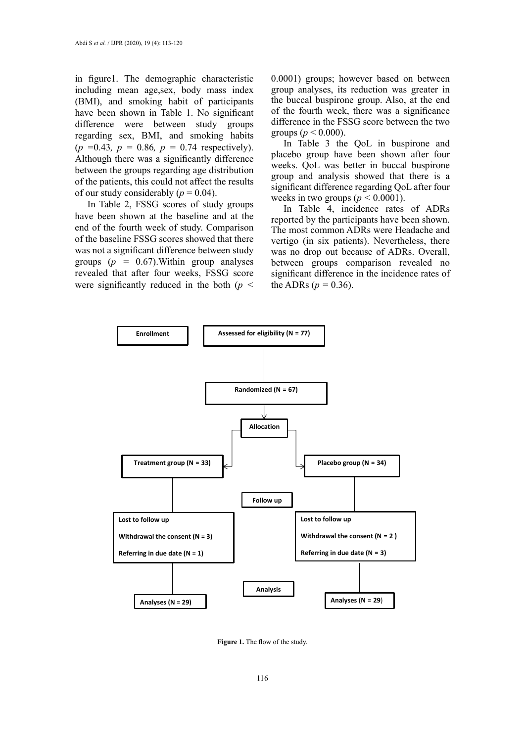in figure1. The demographic characteristic including mean age,sex, body mass index (BMI), and smoking habit of participants have been shown in Table 1. No significant difference were between study groups regarding sex, BMI, and smoking habits (*p =*0.43*, p =* 0.86*, p =* 0.74 respectively). Although there was a significantly difference between the groups regarding age distribution of the patients, this could not affect the results of our study considerably  $(p = 0.04)$ .

In Table 2, FSSG scores of study groups have been shown at the baseline and at the end of the fourth week of study. Comparison of the baseline FSSG scores showed that there was not a significant difference between study groups (*p =* 0.67).Within group analyses revealed that after four weeks, FSSG score were significantly reduced in the both (*p <* 0.0001) groups; however based on between group analyses, its reduction was greater in the buccal buspirone group. Also, at the end of the fourth week, there was a significance difference in the FSSG score between the two groups ( $p < 0.000$ ).

In Table 3 the QoL in buspirone and placebo group have been shown after four weeks. QoL was better in buccal buspirone group and analysis showed that there is a significant difference regarding QoL after four weeks in two groups ( $p \le 0.0001$ ).

In Table 4, incidence rates of ADRs reported by the participants have been shown. The most common ADRs were Headache and vertigo (in six patients). Nevertheless, there was no drop out because of ADRs. Overall, between groups comparison revealed no significant difference in the incidence rates of the ADRs ( $p = 0.36$ ).



Figure 1. The flow of the study.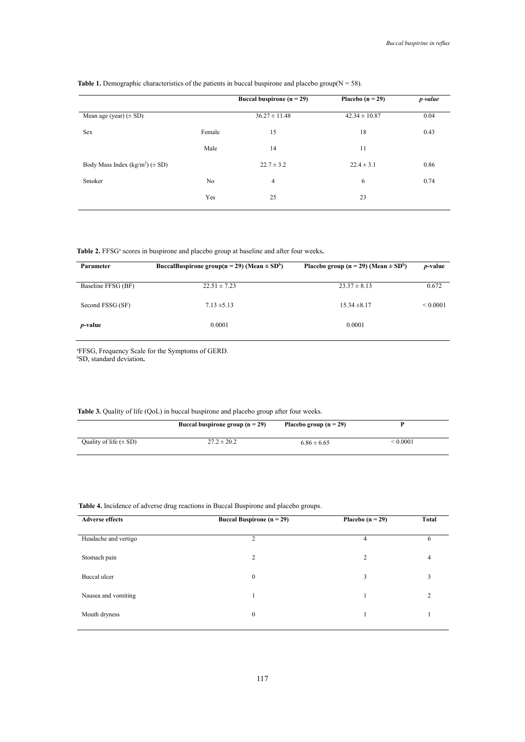|                                          |                | Buccal buspirone ( $n = 29$ ) | Placebo $(n = 29)$ | p-value |
|------------------------------------------|----------------|-------------------------------|--------------------|---------|
| Mean age (year) $(\pm SD)$               |                | $36.27 \pm 11.48$             | $42.34 \pm 10.87$  | 0.04    |
| Sex                                      | Female         | 15                            | 18                 | 0.43    |
|                                          | Male           | 14                            | 11                 |         |
| Body Mass Index ( $kg/m^2$ ) ( $\pm$ SD) |                | $22.7 \pm 3.2$                | $22.4 \pm 3.1$     | 0.86    |
| Smoker                                   | N <sub>0</sub> | $\overline{4}$                | 6                  | 0.74    |
|                                          | Yes            | 25                            | 23                 |         |
|                                          |                |                               |                    |         |

#### **Table 1.** Demographic characteristics of the patients in buccal buspirone and placebo group( $N = 58$ ).

Table 2. FFSG<sup>a</sup> scores in buspirone and placebo group at baseline and after four weeks.

| BuccalBuspirone group( $n = 29$ ) (Mean $\pm$ SD <sup>b</sup> ) | Placebo group ( $n = 29$ ) (Mean $\pm$ SD <sup>b</sup> ) | <i>p</i> -value |
|-----------------------------------------------------------------|----------------------------------------------------------|-----------------|
| $22.51 \pm 7.23$                                                | $23.37 \pm 8.13$                                         | 0.672           |
| $7.13 \pm 5.13$                                                 | $15.34 \pm 8.17$                                         | ${}_{0.0001}$   |
| 0.0001                                                          | 0.0001                                                   |                 |
|                                                                 |                                                          |                 |

 $52$ , suitant de Gardon. a FFSG, Frequency Scale for the Symptoms of GERD. b SD, standard deviation**.**

|  |  |  |  |  | <b>Table 3.</b> Quality of life (QoL) in buccal buspirone and placebo group after four weeks. |  |  |  |
|--|--|--|--|--|-----------------------------------------------------------------------------------------------|--|--|--|
|--|--|--|--|--|-----------------------------------------------------------------------------------------------|--|--|--|

|                            | Buccal buspirone group $(n = 29)$ | Placebo group $(n = 29)$ |        |  |
|----------------------------|-----------------------------------|--------------------------|--------|--|
| Quality of life $(\pm SD)$ | $27.2 \pm 20.2$                   | $6.86 \pm 6.65$          | 0.0001 |  |

## **Table 4.** Incidence of adverse drug reactions in Buccal Buspirone and placebo groups. **Table 4.** Incidence of adverse drug reactions in Buccal Buspirone and placebo groups. Table 3

|                | Placebo $(n = 29)$            | Total |
|----------------|-------------------------------|-------|
| $\overline{c}$ | 4                             | h     |
| $\overline{c}$ | $\overline{c}$                | 4     |
| $\mathbf{0}$   | 3                             | 3     |
|                |                               | C     |
| $\mathbf{0}$   |                               |       |
|                | Buccal Buspirone ( $n = 29$ ) |       |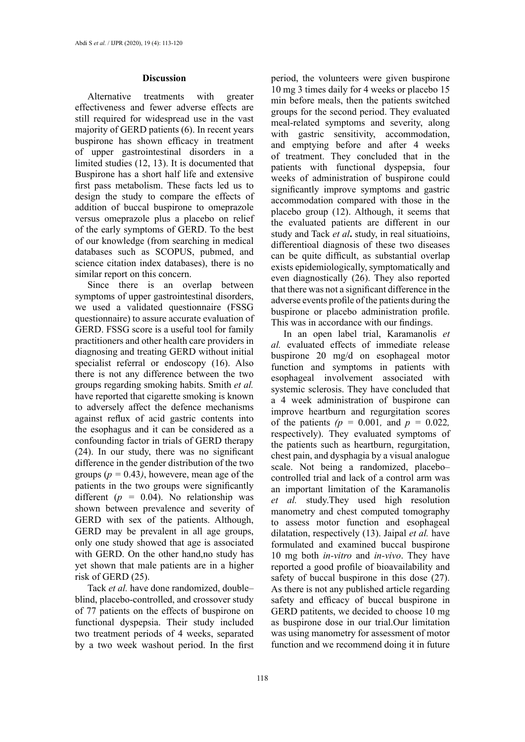#### **Discussion**

Alternative treatments with greater effectiveness and fewer adverse effects are still required for widespread use in the vast majority of GERD patients (6). In recent years buspirone has shown efficacy in treatment of upper gastrointestinal disorders in a limited studies (12, 13). It is documented that Buspirone has a short half life and extensive first pass metabolism. These facts led us to design the study to compare the effects of addition of buccal buspirone to omeprazole versus omeprazole plus a placebo on relief of the early symptoms of GERD. To the best of our knowledge (from searching in medical databases such as SCOPUS, pubmed, and science citation index databases), there is no similar report on this concern.

Since there is an overlap between symptoms of upper gastrointestinal disorders. we used a validated questionnaire (FSSG questionnaire) to assure accurate evaluation of GERD. FSSG score is a useful tool for family practitioners and other health care providers in diagnosing and treating GERD without initial specialist referral or endoscopy (16). Also there is not any difference between the two groups regarding smoking habits. Smith *et al.* have reported that cigarette smoking is known to adversely affect the defence mechanisms against reflux of acid gastric contents into the esophagus and it can be considered as a confounding factor in trials of GERD therapy (24). In our study, there was no significant difference in the gender distribution of the two groups  $(p = 0.43)$ , howevere, mean age of the patients in the two groups were significantly different (*p =* 0.04). No relationship was shown between prevalence and severity of GERD with sex of the patients. Although, GERD may be prevalent in all age groups, only one study showed that age is associated with GERD. On the other hand,no study has yet shown that male patients are in a higher risk of GERD (25).

Tack *et al.* have done randomized, double– blind, placebo-controlled, and crossover study of 77 patients on the effects of buspirone on functional dyspepsia. Their study included two treatment periods of 4 weeks, separated by a two week washout period. In the first period, the volunteers were given buspirone 10 mg 3 times daily for 4 weeks or placebo 15 min before meals, then the patients switched groups for the second period. They evaluated meal-related symptoms and severity, along with gastric sensitivity, accommodation, and emptying before and after 4 weeks of treatment. They concluded that in the patients with functional dyspepsia, four weeks of administration of buspirone could significantly improve symptoms and gastric accommodation compared with those in the placebo group (12). Although, it seems that the evaluated patients are different in our study and Tack *et al***.** study, in real situatioins, differentioal diagnosis of these two diseases can be quite difficult, as substantial overlap exists epidemiologically, symptomatically and even diagnostically (26). They also reported that there was not a significant difference in the adverse events profile of the patients during the buspirone or placebo administration profile. This was in accordance with our findings.

In an open label trial, Karamanolis *et al.* evaluated effects of immediate release buspirone 20 mg/d on esophageal motor function and symptoms in patients with esophageal involvement associated with systemic sclerosis. They have concluded that a 4 week administration of buspirone can improve heartburn and regurgitation scores of the patients  $(p = 0.001, \text{ and } p = 0.022, \text{)}$ respectively). They evaluated symptoms of the patients such as heartburn, regurgitation, chest pain, and dysphagia by a visual analogue scale. Not being a randomized, placebo– controlled trial and lack of a control arm was an important limitation of the Karamanolis *et al.* study.They used high resolution manometry and chest computed tomography to assess motor function and esophageal dilatation, respectively (13). Jaipal *et al.* have formulated and examined buccal buspirone 10 mg both *in-vitro* and *in-vivo*. They have reported a good profile of bioavailability and safety of buccal buspirone in this dose (27). As there is not any published article regarding safety and efficacy of buccal buspirone in GERD patitents, we decided to choose 10 mg as buspirone dose in our trial.Our limitation was using manometry for assessment of motor function and we recommend doing it in future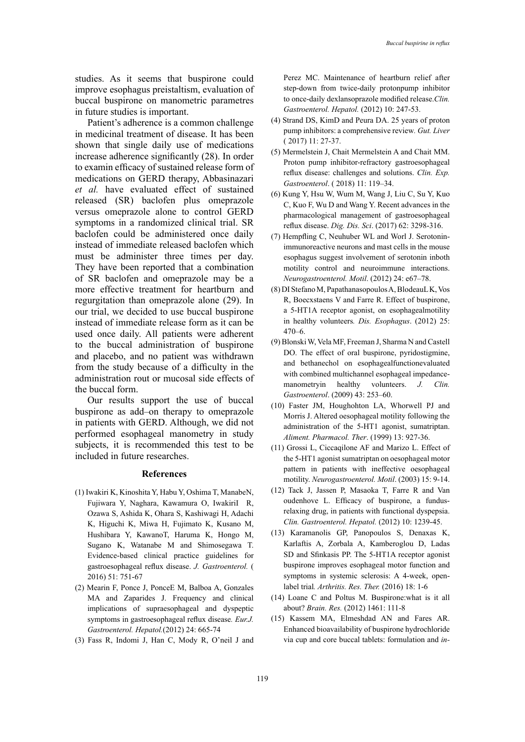studies. As it seems that buspirone could improve esophagus preistaltism, evaluation of buccal buspirone on manometric parametres in future studies is important.

Patient's adherence is a common challenge in medicinal treatment of disease. It has been shown that single daily use of medications increase adherence significantly (28). In order to examin efficacy of sustained release form of medications on GERD therapy, Abbasinazari *et al.* have evaluated effect of sustained released (SR) baclofen plus omeprazole versus omeprazole alone to control GERD symptoms in a randomized clinical trial. SR baclofen could be administered once daily instead of immediate released baclofen which must be administer three times per day. They have been reported that a combination of SR baclofen and omeprazole may be a more effective treatment for heartburn and regurgitation than omeprazole alone (29). In our trial, we decided to use buccal buspirone instead of immediate release form as it can be used once daily. All patients were adherent to the buccal administration of buspirone and placebo, and no patient was withdrawn from the study because of a difficulty in the administration rout or mucosal side effects of the buccal form.

Our results support the use of buccal buspirone as add–on therapy to omeprazole in patients with GERD. Although, we did not performed esophageal manometry in study subjects, it is recommended this test to be included in future researches.

#### **References**

- (1) Iwakiri K, Kinoshita Y, Habu Y, Oshima T, ManabeN, Fujiwara Y, Naghara, Kawamura O, IwakiriI R, Ozawa S, Ashida K, Ohara S, Kashiwagi H, Adachi K, Higuchi K, Miwa H, Fujimato K, Kusano M, Hushibara Y, KawanoT, Haruma K, Hongo M, Sugano K, Watanabe M and Shimosegawa T. Evidence-based clinical practice guidelines for gastroesophageal reflux disease. *J. Gastroenterol.* ( 2016) 51: 751-67
- (2) Mearin F, Ponce J, PonceE M, Balboa A, Gonzales MA and Zaparides J. Frequency and clinical implications of supraesophageal and dyspeptic symptoms in gastroesophageal reflux disease*. Eur.J. Gastroenterol. Hepatol.*(2012) 24: 665-74
- (3) Fass R, Indomi J, Han C, Mody R, O'neil J and

Perez MC. Maintenance of heartburn relief after step-down from twice-daily protonpump inhibitor to once-daily dexlansoprazole modified release.*Clin. Gastroenterol. Hepatol.* (2012) 10: 247-53.

- (4) Strand DS, KimD and Peura DA. 25 years of proton pump inhibitors: a comprehensive review*. Gut. Liver* ( 2017) 11: 27-37.
- (5) Mermelstein J, Chait Mermelstein A and Chait MM. Proton pump inhibitor-refractory gastroesophageal reflux disease: challenges and solutions. *Clin. Exp. Gastroenterol*. ( 2018) 11: 119–34.
- (6) Kung Y, Hsu W, Wum M, Wang J, Liu C, Su Y, Kuo C, Kuo F, Wu D and Wang Y. Recent advances in the pharmacological management of gastroesophageal reflux disease. *Dig. Dis. Sci*. (2017) 62: 3298-316.
- (7) Hempfling C, Neuhuber WL and Worl J. Serotoninimmunoreactive neurons and mast cells in the mouse esophagus suggest involvement of serotonin inboth motility control and neuroimmune interactions. *Neurogastroenterol. Motil*. (2012) 24: e67–78.
- (8) DI Stefano M, Papathanasopoulos A, BlodeauL K, Vos R, Boecxstaens V and Farre R. Effect of buspirone, a 5-HT1A receptor agonist, on esophagealmotility in healthy volunteers*. Dis. Esophagus*. (2012) 25: 470–6.
- (9) Blonski W, Vela MF, Freeman J, Sharma N and Castell DO. The effect of oral buspirone, pyridostigmine, and bethanechol on esophagealfunctionevaluated with combined multichannel esophageal impedancemanometryin healthy volunteers. *J. Clin. Gastroenterol*. (2009) 43: 253–60.
- (10) Faster JM, Houghohton LA, Whorwell PJ and Morris J. Altered oesophageal motility following the administration of the 5-HT1 agonist, sumatriptan. *[Aliment. Pharmacol. Ther](https://www.ncbi.nlm.nih.gov/pubmed/10383528)*. (1999) 13: 927-36.
- (11) Grossi L, Ciccaqilone AF and Marizo L. Effect of the 5-HT1 agonist sumatriptan on oesophageal motor pattern in patients with ineffective oesophageal motility. *[Neurogastroenterol. Motil](https://www.ncbi.nlm.nih.gov/pubmed/12588464)*. (2003) 15: 9-14.
- (12) [Tack J](https://www.ncbi.nlm.nih.gov/pubmed/?term=Tack%20J%5BAuthor%5D&cauthor=true&cauthor_uid=22813445), [Jassen P](https://www.ncbi.nlm.nih.gov/pubmed/?term=Janssen%20P%5BAuthor%5D&cauthor=true&cauthor_uid=22813445), [Masaoka T](https://www.ncbi.nlm.nih.gov/pubmed/?term=Masaoka%20T%5BAuthor%5D&cauthor=true&cauthor_uid=22813445), [Farre R](https://www.ncbi.nlm.nih.gov/pubmed/?term=Farr%C3%A9%20R%5BAuthor%5D&cauthor=true&cauthor_uid=22813445) and [Van](https://www.ncbi.nlm.nih.gov/pubmed/?term=Van%20Oudenhove%20L%5BAuthor%5D&cauthor=true&cauthor_uid=22813445) [oudenhove L](https://www.ncbi.nlm.nih.gov/pubmed/?term=Van%20Oudenhove%20L%5BAuthor%5D&cauthor=true&cauthor_uid=22813445). Efficacy of buspirone, a fundusrelaxing drug, in patients with functional dyspepsia. *[Clin. Gastroenterol. Hepatol.](https://www.ncbi.nlm.nih.gov/pubmed/22813445)* (2012) 10: 1239-45.
- (13) Karamanolis GP, Panopoulos S, Denaxas K, Karlaftis A, Zorbala A, Kamberoglou D, Ladas SD and Sfinkasis PP. The 5-HT1A receptor agonist buspirone improves esophageal motor function and symptoms in systemic sclerosis: A 4-week, openlabel trial*. Arthritis. Res. Ther.* (2016) 18: 1-6
- (14) Loane C and Poltus M. Buspirone:what is it all about? *Brain. Res.* (2012) 1461: 111-8
- (15) [Kassem MA,](https://www.ncbi.nlm.nih.gov/pubmed/?term=Kassem%20MA%5BAuthor%5D&cauthor=true&cauthor_uid=24412520) [Elmeshdad AN](https://www.ncbi.nlm.nih.gov/pubmed/?term=Elmeshad%20AN%5BAuthor%5D&cauthor=true&cauthor_uid=24412520) and [Fares AR](https://www.ncbi.nlm.nih.gov/pubmed/?term=Fares%20AR%5BAuthor%5D&cauthor=true&cauthor_uid=24412520). Enhanced bioavailability of buspirone hydrochloride via cup and core buccal tablets: formulation and *in-*